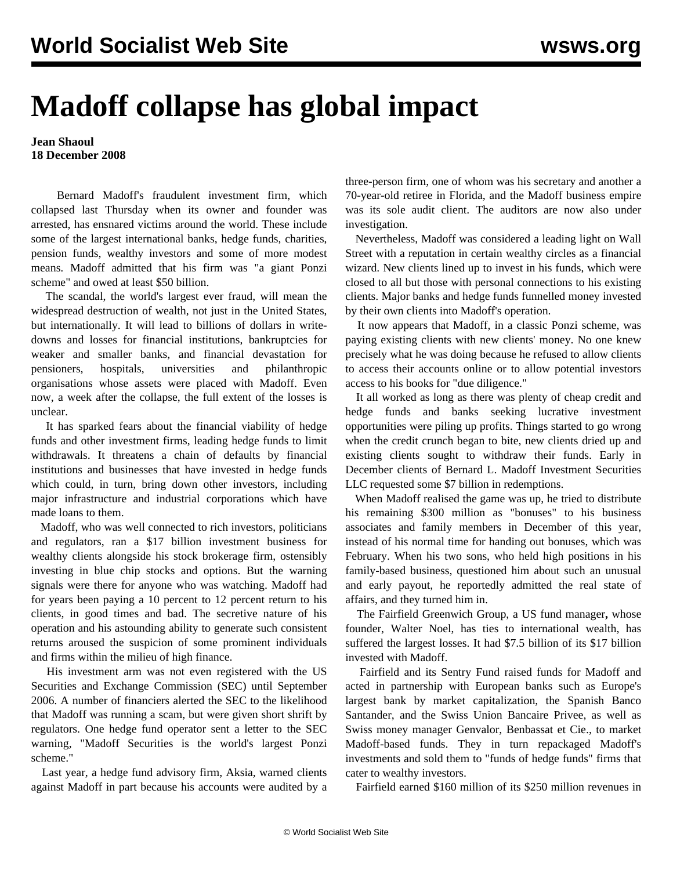## **Madoff collapse has global impact**

## **Jean Shaoul 18 December 2008**

 Bernard Madoff's fraudulent investment firm, which collapsed last Thursday when its owner and founder was arrested, has ensnared victims around the world. These include some of the largest international banks, hedge funds, charities, pension funds, wealthy investors and some of more modest means. Madoff admitted that his firm was "a giant Ponzi scheme" and owed at least \$50 billion.

 The scandal, the world's largest ever fraud, will mean the widespread destruction of wealth, not just in the United States, but internationally. It will lead to billions of dollars in writedowns and losses for financial institutions, bankruptcies for weaker and smaller banks, and financial devastation for pensioners, hospitals, universities and philanthropic organisations whose assets were placed with Madoff. Even now, a week after the collapse, the full extent of the losses is unclear.

 It has sparked fears about the financial viability of hedge funds and other investment firms, leading hedge funds to limit withdrawals. It threatens a chain of defaults by financial institutions and businesses that have invested in hedge funds which could, in turn, bring down other investors, including major infrastructure and industrial corporations which have made loans to them.

 Madoff, who was well connected to rich investors, politicians and regulators, ran a \$17 billion investment business for wealthy clients alongside his stock brokerage firm, ostensibly investing in blue chip stocks and options. But the warning signals were there for anyone who was watching. Madoff had for years been paying a 10 percent to 12 percent return to his clients, in good times and bad. The secretive nature of his operation and his astounding ability to generate such consistent returns aroused the suspicion of some prominent individuals and firms within the milieu of high finance.

 His investment arm was not even registered with the US Securities and Exchange Commission (SEC) until September 2006. A number of financiers alerted the SEC to the likelihood that Madoff was running a scam, but were given short shrift by regulators. One hedge fund operator sent a letter to the SEC warning, "Madoff Securities is the world's largest Ponzi scheme."

 Last year, a hedge fund advisory firm, Aksia, warned clients against Madoff in part because his accounts were audited by a three-person firm, one of whom was his secretary and another a 70-year-old retiree in Florida, and the Madoff business empire was its sole audit client. The auditors are now also under investigation.

 Nevertheless, Madoff was considered a leading light on Wall Street with a reputation in certain wealthy circles as a financial wizard. New clients lined up to invest in his funds, which were closed to all but those with personal connections to his existing clients. Major banks and hedge funds funnelled money invested by their own clients into Madoff's operation.

 It now appears that Madoff, in a classic Ponzi scheme, was paying existing clients with new clients' money. No one knew precisely what he was doing because he refused to allow clients to access their accounts online or to allow potential investors access to his books for "due diligence."

 It all worked as long as there was plenty of cheap credit and hedge funds and banks seeking lucrative investment opportunities were piling up profits. Things started to go wrong when the credit crunch began to bite, new clients dried up and existing clients sought to withdraw their funds. Early in December clients of Bernard L. Madoff Investment Securities LLC requested some \$7 billion in redemptions.

 When Madoff realised the game was up, he tried to distribute his remaining \$300 million as "bonuses" to his business associates and family members in December of this year, instead of his normal time for handing out bonuses, which was February. When his two sons, who held high positions in his family-based business, questioned him about such an unusual and early payout, he reportedly admitted the real state of affairs, and they turned him in.

 The Fairfield Greenwich Group, a US fund manager**,** whose founder, Walter Noel, has ties to international wealth, has suffered the largest losses. It had \$7.5 billion of its \$17 billion invested with Madoff.

 Fairfield and its Sentry Fund raised funds for Madoff and acted in partnership with European banks such as Europe's largest bank by market capitalization, the Spanish Banco Santander, and the Swiss Union Bancaire Privee, as well as Swiss money manager Genvalor, Benbassat et Cie., to market Madoff-based funds. They in turn repackaged Madoff's investments and sold them to "funds of hedge funds" firms that cater to wealthy investors.

Fairfield earned \$160 million of its \$250 million revenues in